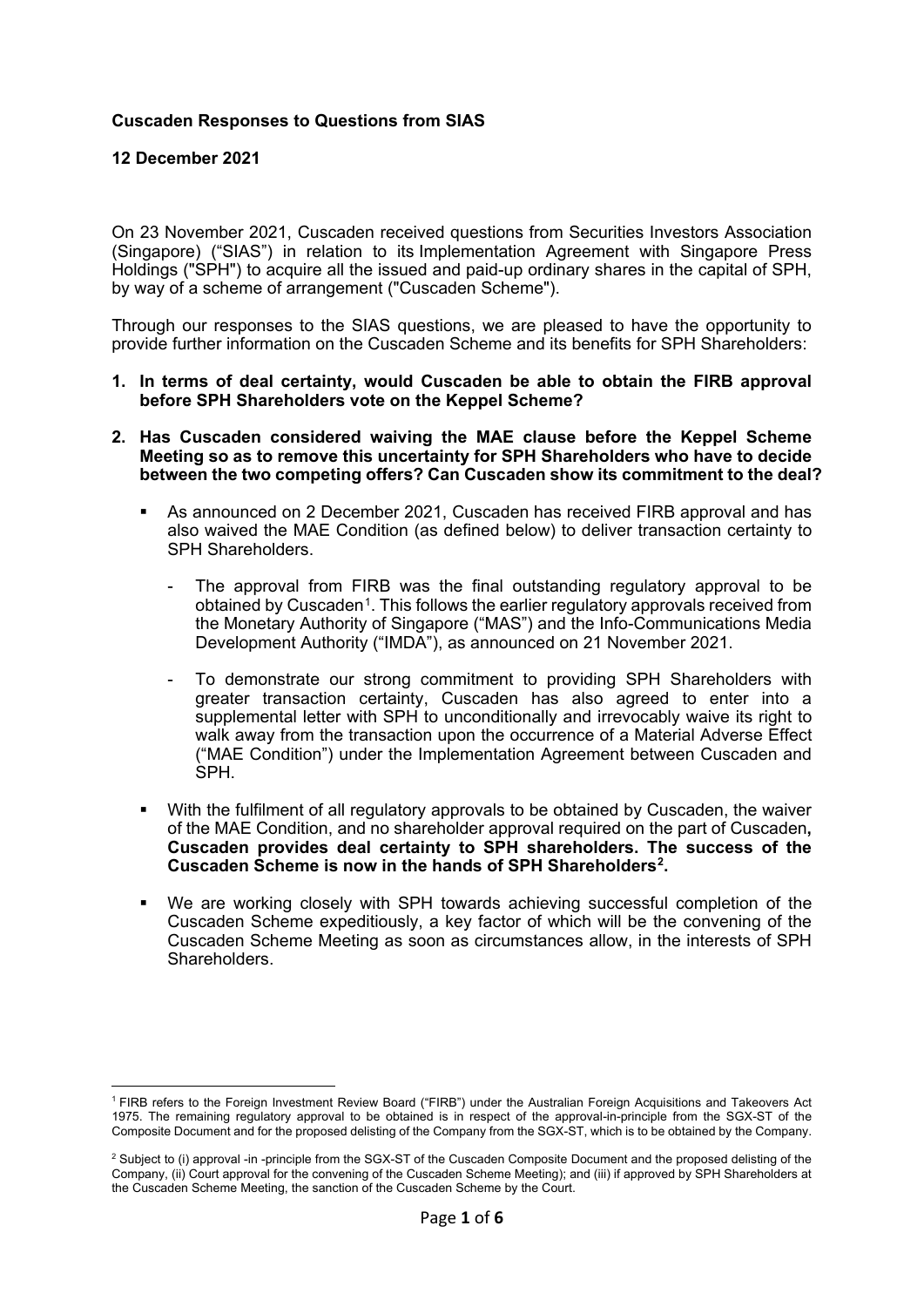# **Cuscaden Responses to Questions from SIAS**

**12 December 2021**

On 23 November 2021, Cuscaden received questions from Securities Investors Association (Singapore) ("SIAS") in relation to its Implementation Agreement with Singapore Press Holdings ("SPH") to acquire all the issued and paid-up ordinary shares in the capital of SPH, by way of a scheme of arrangement ("Cuscaden Scheme").

Through our responses to the SIAS questions, we are pleased to have the opportunity to provide further information on the Cuscaden Scheme and its benefits for SPH Shareholders:

- **1. In terms of deal certainty, would Cuscaden be able to obtain the FIRB approval before SPH Shareholders vote on the Keppel Scheme?**
- **2. Has Cuscaden considered waiving the MAE clause before the Keppel Scheme Meeting so as to remove this uncertainty for SPH Shareholders who have to decide between the two competing offers? Can Cuscaden show its commitment to the deal?**
	- As announced on 2 December 2021, Cuscaden has received FIRB approval and has also waived the MAE Condition (as defined below) to deliver transaction certainty to SPH Shareholders.
		- The approval from FIRB was the final outstanding regulatory approval to be obtained by Cuscaden[1.](#page-0-0) This follows the earlier regulatory approvals received from the Monetary Authority of Singapore ("MAS") and the Info-Communications Media Development Authority ("IMDA"), as announced on 21 November 2021.
		- To demonstrate our strong commitment to providing SPH Shareholders with greater transaction certainty, Cuscaden has also agreed to enter into a supplemental letter with SPH to unconditionally and irrevocably waive its right to walk away from the transaction upon the occurrence of a Material Adverse Effect ("MAE Condition") under the Implementation Agreement between Cuscaden and SPH.
	- With the fulfilment of all regulatory approvals to be obtained by Cuscaden, the waiver of the MAE Condition, and no shareholder approval required on the part of Cuscaden**, Cuscaden provides deal certainty to SPH shareholders. The success of the Cuscaden Scheme is now in the hands of SPH Shareholders[2](#page-0-1) .**
	- We are working closely with SPH towards achieving successful completion of the Cuscaden Scheme expeditiously, a key factor of which will be the convening of the Cuscaden Scheme Meeting as soon as circumstances allow, in the interests of SPH Shareholders.

<span id="page-0-0"></span><sup>1</sup> FIRB refers to the Foreign Investment Review Board ("FIRB") under the Australian Foreign Acquisitions and Takeovers Act 1975. The remaining regulatory approval to be obtained is in respect of the approval-in-principle from the SGX-ST of the Composite Document and for the proposed delisting of the Company from the SGX-ST, which is to be obtained by the Company.

<span id="page-0-1"></span><sup>&</sup>lt;sup>2</sup> Subject to (i) approval -in -principle from the SGX-ST of the Cuscaden Composite Document and the proposed delisting of the Company, (ii) Court approval for the convening of the Cuscaden Scheme Meeting); and (iii) if approved by SPH Shareholders at the Cuscaden Scheme Meeting, the sanction of the Cuscaden Scheme by the Court.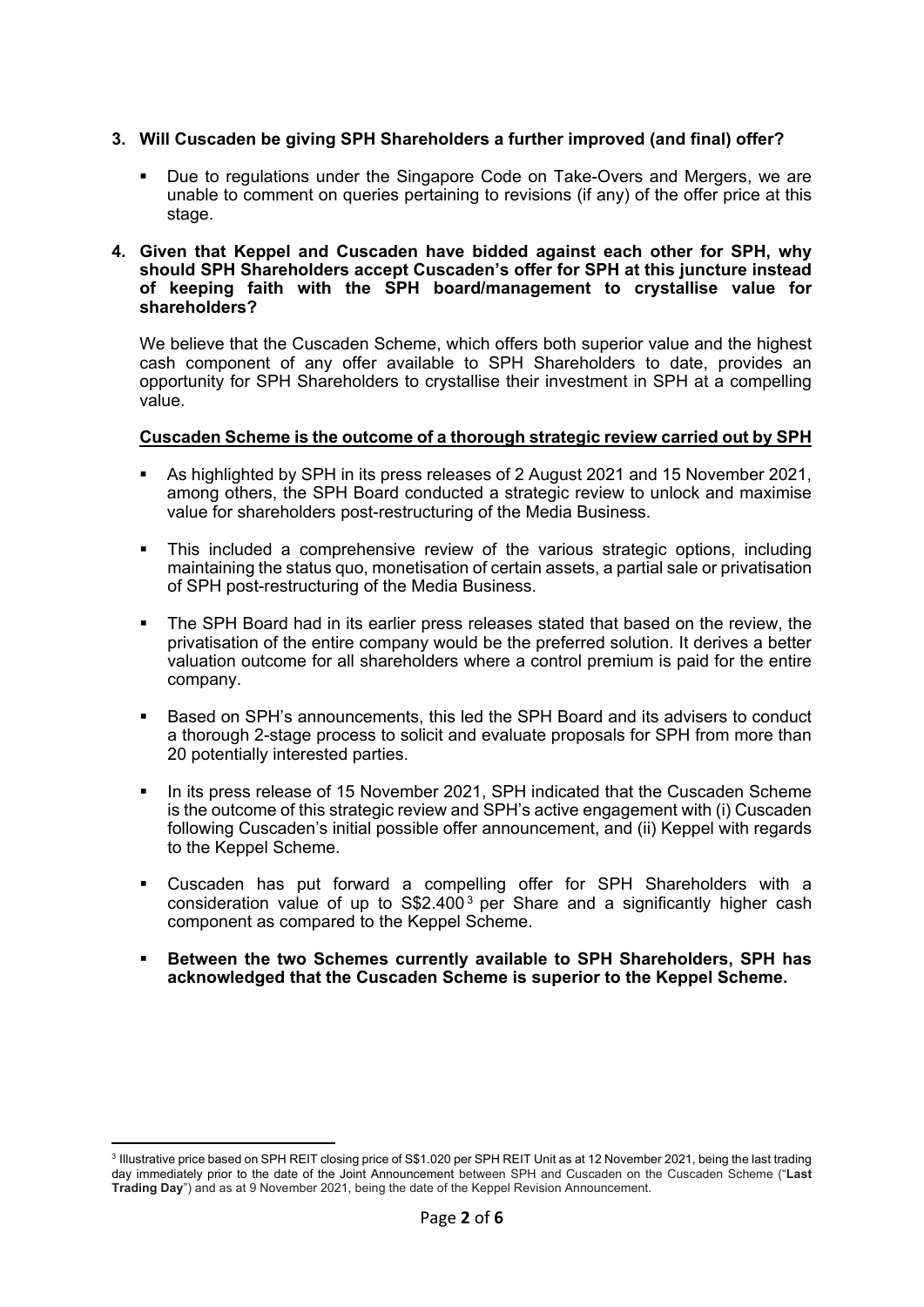# **3. Will Cuscaden be giving SPH Shareholders a further improved (and final) offer?**

 Due to regulations under the Singapore Code on Take-Overs and Mergers, we are unable to comment on queries pertaining to revisions (if any) of the offer price at this stage.

### **4. Given that Keppel and Cuscaden have bidded against each other for SPH, why should SPH Shareholders accept Cuscaden's offer for SPH at this juncture instead of keeping faith with the SPH board/management to crystallise value for shareholders?**

We believe that the Cuscaden Scheme, which offers both superior value and the highest cash component of any offer available to SPH Shareholders to date, provides an opportunity for SPH Shareholders to crystallise their investment in SPH at a compelling value.

## **Cuscaden Scheme is the outcome of a thorough strategic review carried out by SPH**

- As highlighted by SPH in its press releases of 2 August 2021 and 15 November 2021, among others, the SPH Board conducted a strategic review to unlock and maximise value for shareholders post-restructuring of the Media Business.
- This included a comprehensive review of the various strategic options, including maintaining the status quo, monetisation of certain assets, a partial sale or privatisation of SPH post-restructuring of the Media Business.
- The SPH Board had in its earlier press releases stated that based on the review, the privatisation of the entire company would be the preferred solution. It derives a better valuation outcome for all shareholders where a control premium is paid for the entire company.
- Based on SPH's announcements, this led the SPH Board and its advisers to conduct a thorough 2-stage process to solicit and evaluate proposals for SPH from more than 20 potentially interested parties.
- In its press release of 15 November 2021, SPH indicated that the Cuscaden Scheme is the outcome of this strategic review and SPH's active engagement with (i) Cuscaden following Cuscaden's initial possible offer announcement, and (ii) Keppel with regards to the Keppel Scheme.
- Cuscaden has put forward a compelling offer for SPH Shareholders with a consideration value of up to S\$2.400 [3](#page-1-0) per Share and a significantly higher cash component as compared to the Keppel Scheme.
- **Between the two Schemes currently available to SPH Shareholders, SPH has acknowledged that the Cuscaden Scheme is superior to the Keppel Scheme.**

<span id="page-1-0"></span><sup>&</sup>lt;sup>3</sup> Illustrative price based on SPH REIT closing price of S\$1.020 per SPH REIT Unit as at 12 November 2021, being the last trading day immediately prior to the date of the Joint Announcement between SPH and Cuscaden on the Cuscaden Scheme ("**Last Trading Day**") and as at 9 November 2021, being the date of the Keppel Revision Announcement.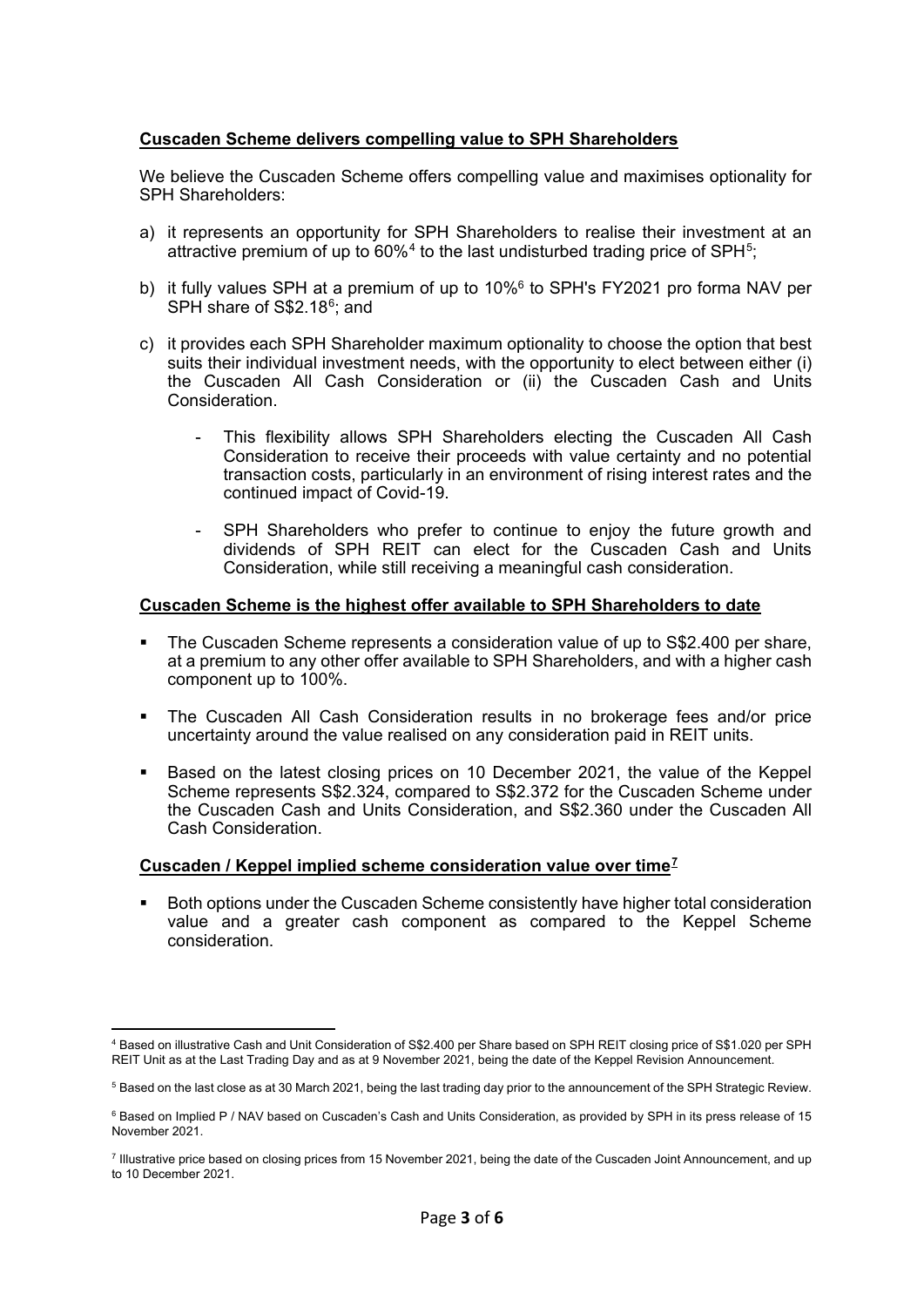# **Cuscaden Scheme delivers compelling value to SPH Shareholders**

We believe the Cuscaden Scheme offers compelling value and maximises optionality for SPH Shareholders:

- a) it represents an opportunity for SPH Shareholders to realise their investment at an attractive premium of up to  $60\%$ <sup>[4](#page-2-0)</sup> to the last undisturbed trading price of SPH<sup>5</sup>;
- b) it fully values SPH at a premium of up to 10%6 to SPH's FY2021 pro forma NAV per SPH share of S\$2.18<sup>6</sup>; and
- c) it provides each SPH Shareholder maximum optionality to choose the option that best suits their individual investment needs, with the opportunity to elect between either (i) the Cuscaden All Cash Consideration or (ii) the Cuscaden Cash and Units Consideration.
	- This flexibility allows SPH Shareholders electing the Cuscaden All Cash Consideration to receive their proceeds with value certainty and no potential transaction costs, particularly in an environment of rising interest rates and the continued impact of Covid-19.
	- SPH Shareholders who prefer to continue to enjoy the future growth and dividends of SPH REIT can elect for the Cuscaden Cash and Units Consideration, while still receiving a meaningful cash consideration.

#### **Cuscaden Scheme is the highest offer available to SPH Shareholders to date**

- The Cuscaden Scheme represents a consideration value of up to S\$2.400 per share, at a premium to any other offer available to SPH Shareholders, and with a higher cash component up to 100%.
- The Cuscaden All Cash Consideration results in no brokerage fees and/or price uncertainty around the value realised on any consideration paid in REIT units.
- Based on the latest closing prices on 10 December 2021, the value of the Keppel Scheme represents S\$2.324, compared to S\$2.372 for the Cuscaden Scheme under the Cuscaden Cash and Units Consideration, and S\$2.360 under the Cuscaden All Cash Consideration.

#### **Cuscaden / Keppel implied scheme consideration value over time[7](#page-2-3)**

 Both options under the Cuscaden Scheme consistently have higher total consideration value and a greater cash component as compared to the Keppel Scheme consideration.

<span id="page-2-0"></span><sup>4</sup> Based on illustrative Cash and Unit Consideration of S\$2.400 per Share based on SPH REIT closing price of S\$1.020 per SPH REIT Unit as at the Last Trading Day and as at 9 November 2021, being the date of the Keppel Revision Announcement.

<span id="page-2-1"></span><sup>5</sup> Based on the last close as at 30 March 2021, being the last trading day prior to the announcement of the SPH Strategic Review.

<span id="page-2-2"></span> $6$  Based on Implied P / NAV based on Cuscaden's Cash and Units Consideration, as provided by SPH in its press release of 15 November 2021.

<span id="page-2-3"></span><sup>7</sup> Illustrative price based on closing prices from 15 November 2021, being the date of the Cuscaden Joint Announcement, and up to 10 December 2021.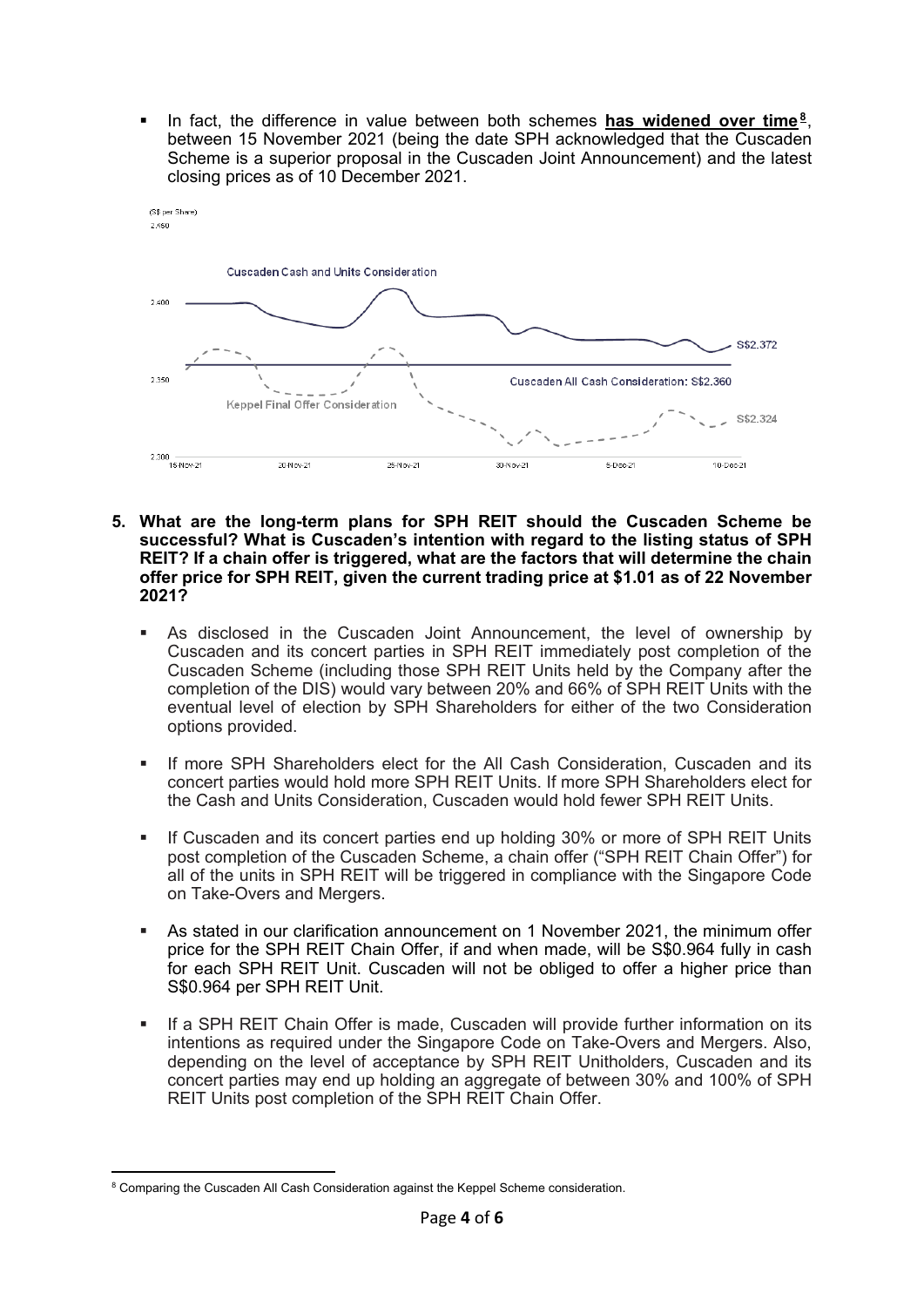In fact, the difference in value between both schemes **has widened over time[8](#page-3-0)**, between 15 November 2021 (being the date SPH acknowledged that the Cuscaden Scheme is a superior proposal in the Cuscaden Joint Announcement) and the latest closing prices as of 10 December 2021.



- **5. What are the long-term plans for SPH REIT should the Cuscaden Scheme be successful? What is Cuscaden's intention with regard to the listing status of SPH REIT? If a chain offer is triggered, what are the factors that will determine the chain offer price for SPH REIT, given the current trading price at \$1.01 as of 22 November 2021?**
	- As disclosed in the Cuscaden Joint Announcement, the level of ownership by Cuscaden and its concert parties in SPH REIT immediately post completion of the Cuscaden Scheme (including those SPH REIT Units held by the Company after the completion of the DIS) would vary between 20% and 66% of SPH REIT Units with the eventual level of election by SPH Shareholders for either of the two Consideration options provided.
	- If more SPH Shareholders elect for the All Cash Consideration, Cuscaden and its concert parties would hold more SPH REIT Units. If more SPH Shareholders elect for the Cash and Units Consideration, Cuscaden would hold fewer SPH REIT Units.
	- If Cuscaden and its concert parties end up holding 30% or more of SPH REIT Units post completion of the Cuscaden Scheme, a chain offer ("SPH REIT Chain Offer") for all of the units in SPH REIT will be triggered in compliance with the Singapore Code on Take-Overs and Mergers.
	- As stated in our clarification announcement on 1 November 2021, the minimum offer price for the SPH REIT Chain Offer, if and when made, will be S\$0.964 fully in cash for each SPH REIT Unit. Cuscaden will not be obliged to offer a higher price than S\$0.964 per SPH REIT Unit.
	- If a SPH REIT Chain Offer is made, Cuscaden will provide further information on its intentions as required under the Singapore Code on Take-Overs and Mergers. Also, depending on the level of acceptance by SPH REIT Unitholders, Cuscaden and its concert parties may end up holding an aggregate of between 30% and 100% of SPH REIT Units post completion of the SPH REIT Chain Offer.

<span id="page-3-0"></span><sup>&</sup>lt;sup>8</sup> Comparing the Cuscaden All Cash Consideration against the Keppel Scheme consideration.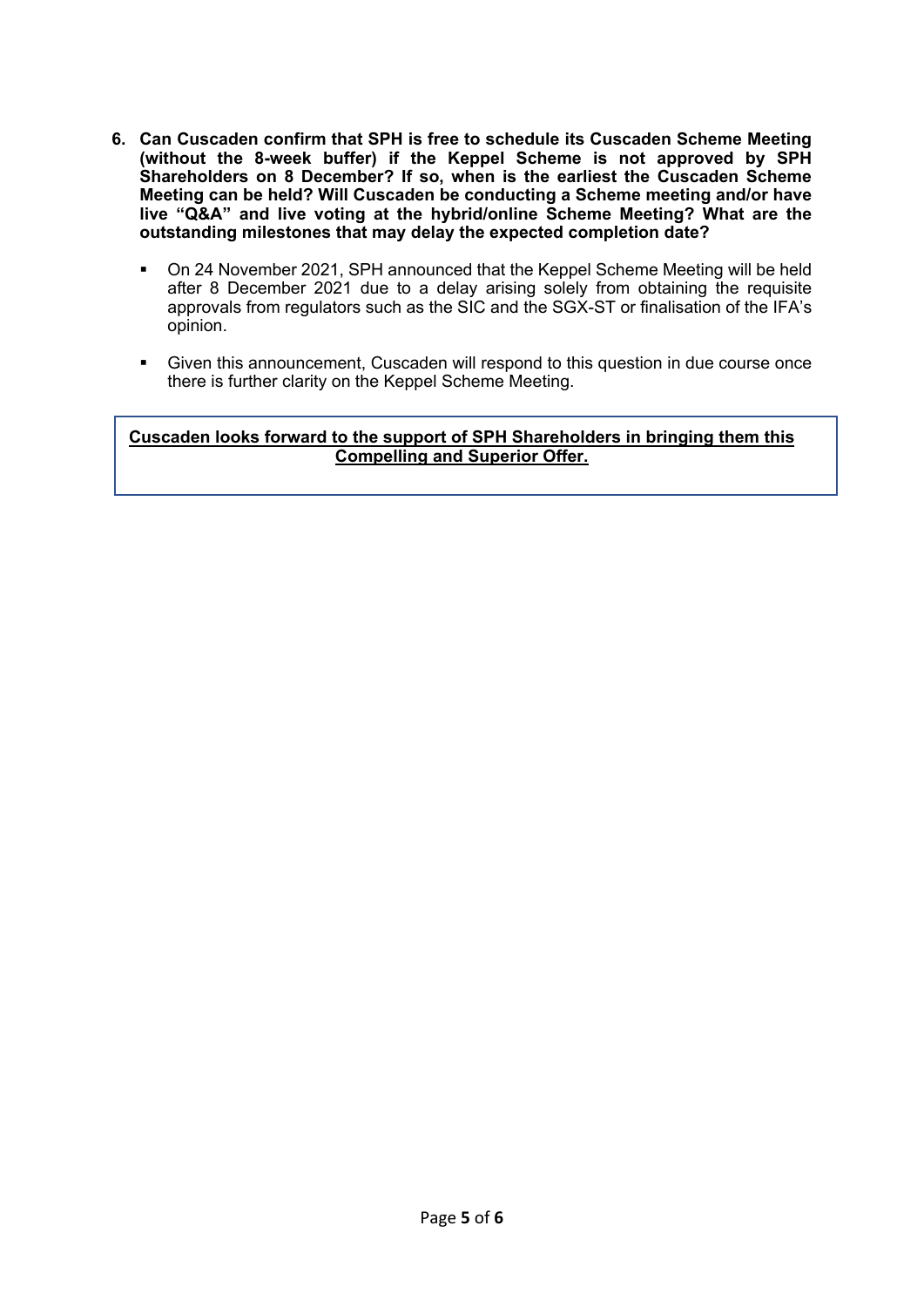- **6. Can Cuscaden confirm that SPH is free to schedule its Cuscaden Scheme Meeting (without the 8-week buffer) if the Keppel Scheme is not approved by SPH Shareholders on 8 December? If so, when is the earliest the Cuscaden Scheme Meeting can be held? Will Cuscaden be conducting a Scheme meeting and/or have live "Q&A" and live voting at the hybrid/online Scheme Meeting? What are the outstanding milestones that may delay the expected completion date?** 
	- On 24 November 2021, SPH announced that the Keppel Scheme Meeting will be held after 8 December 2021 due to a delay arising solely from obtaining the requisite approvals from regulators such as the SIC and the SGX-ST or finalisation of the IFA's opinion.
	- Given this announcement, Cuscaden will respond to this question in due course once there is further clarity on the Keppel Scheme Meeting.

# **Cuscaden looks forward to the support of SPH Shareholders in bringing them this Compelling and Superior Offer.**